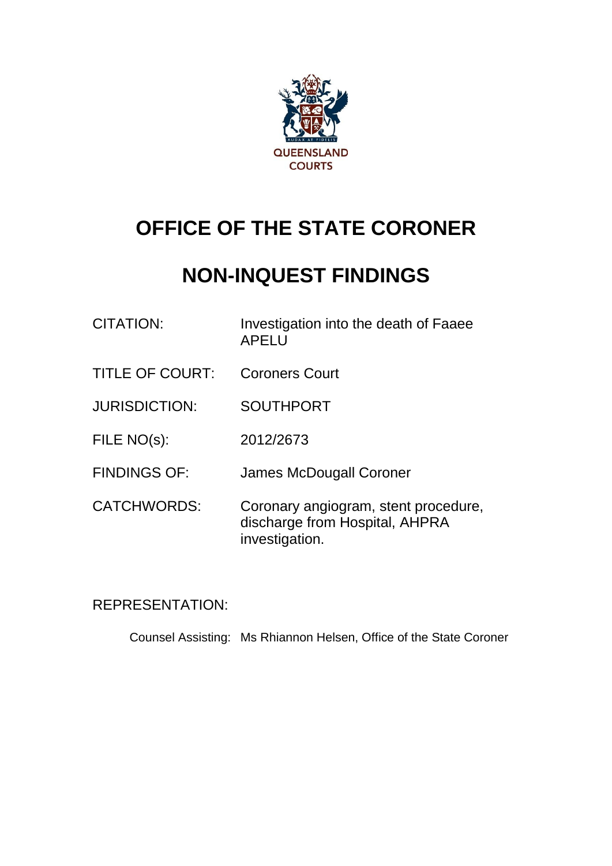

# **OFFICE OF THE STATE CORONER**

# **NON-INQUEST FINDINGS**

| CITATION:              | Investigation into the death of Faaee<br><b>APELU</b> |
|------------------------|-------------------------------------------------------|
| <b>TITLE OF COURT:</b> | <b>Coroners Court</b>                                 |
| <b>JURISDICTION:</b>   | <b>SOUTHPORT</b>                                      |
| FILE NO(s):            | 2012/2673                                             |
| <b>FINDINGS OF:</b>    | James McDougall Coroner                               |
|                        |                                                       |

CATCHWORDS: Coronary angiogram, stent procedure, discharge from Hospital, AHPRA investigation.

# REPRESENTATION:

Counsel Assisting: Ms Rhiannon Helsen, Office of the State Coroner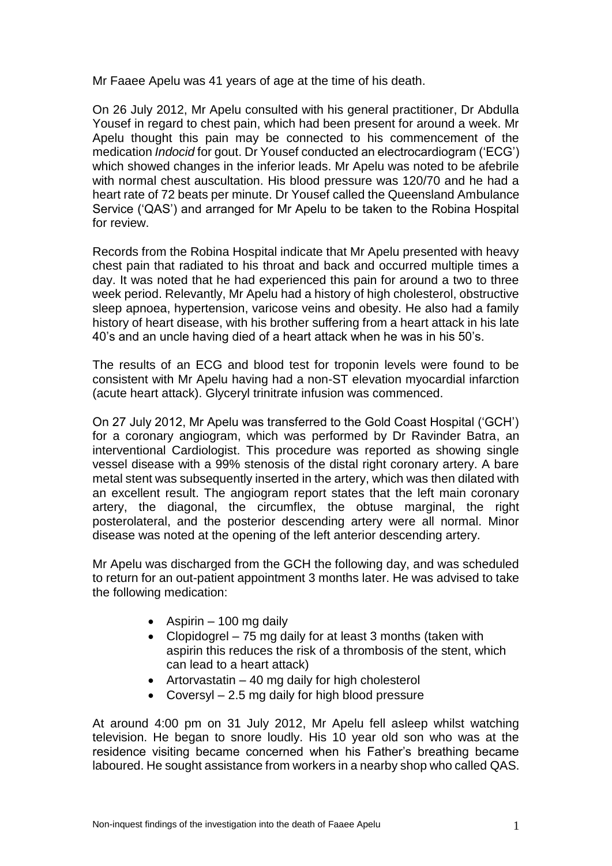Mr Faaee Apelu was 41 years of age at the time of his death.

On 26 July 2012, Mr Apelu consulted with his general practitioner, Dr Abdulla Yousef in regard to chest pain, which had been present for around a week. Mr Apelu thought this pain may be connected to his commencement of the medication *Indocid* for gout. Dr Yousef conducted an electrocardiogram ('ECG') which showed changes in the inferior leads. Mr Apelu was noted to be afebrile with normal chest auscultation. His blood pressure was 120/70 and he had a heart rate of 72 beats per minute. Dr Yousef called the Queensland Ambulance Service ('QAS') and arranged for Mr Apelu to be taken to the Robina Hospital for review.

Records from the Robina Hospital indicate that Mr Apelu presented with heavy chest pain that radiated to his throat and back and occurred multiple times a day. It was noted that he had experienced this pain for around a two to three week period. Relevantly, Mr Apelu had a history of high cholesterol, obstructive sleep apnoea, hypertension, varicose veins and obesity. He also had a family history of heart disease, with his brother suffering from a heart attack in his late 40's and an uncle having died of a heart attack when he was in his 50's.

The results of an ECG and blood test for troponin levels were found to be consistent with Mr Apelu having had a non-ST elevation myocardial infarction (acute heart attack). Glyceryl trinitrate infusion was commenced.

On 27 July 2012, Mr Apelu was transferred to the Gold Coast Hospital ('GCH') for a coronary angiogram, which was performed by Dr Ravinder Batra, an interventional Cardiologist. This procedure was reported as showing single vessel disease with a 99% stenosis of the distal right coronary artery. A bare metal stent was subsequently inserted in the artery, which was then dilated with an excellent result. The angiogram report states that the left main coronary artery, the diagonal, the circumflex, the obtuse marginal, the right posterolateral, and the posterior descending artery were all normal. Minor disease was noted at the opening of the left anterior descending artery.

Mr Apelu was discharged from the GCH the following day, and was scheduled to return for an out-patient appointment 3 months later. He was advised to take the following medication:

- $\bullet$  Aspirin 100 mg daily
- Clopidogrel 75 mg daily for at least 3 months (taken with aspirin this reduces the risk of a thrombosis of the stent, which can lead to a heart attack)
- $\bullet$  Artorvastatin 40 mg daily for high cholesterol
- Coversyl 2.5 mg daily for high blood pressure

At around 4:00 pm on 31 July 2012, Mr Apelu fell asleep whilst watching television. He began to snore loudly. His 10 year old son who was at the residence visiting became concerned when his Father's breathing became laboured. He sought assistance from workers in a nearby shop who called QAS.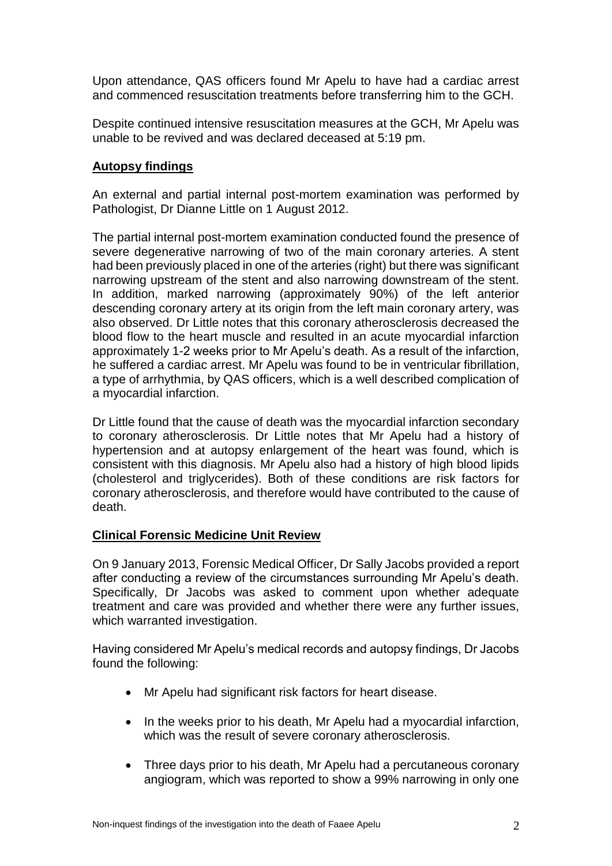Upon attendance, QAS officers found Mr Apelu to have had a cardiac arrest and commenced resuscitation treatments before transferring him to the GCH.

Despite continued intensive resuscitation measures at the GCH, Mr Apelu was unable to be revived and was declared deceased at 5:19 pm.

# **Autopsy findings**

An external and partial internal post-mortem examination was performed by Pathologist, Dr Dianne Little on 1 August 2012.

The partial internal post-mortem examination conducted found the presence of severe degenerative narrowing of two of the main coronary arteries. A stent had been previously placed in one of the arteries (right) but there was significant narrowing upstream of the stent and also narrowing downstream of the stent. In addition, marked narrowing (approximately 90%) of the left anterior descending coronary artery at its origin from the left main coronary artery, was also observed. Dr Little notes that this coronary atherosclerosis decreased the blood flow to the heart muscle and resulted in an acute myocardial infarction approximately 1-2 weeks prior to Mr Apelu's death. As a result of the infarction, he suffered a cardiac arrest. Mr Apelu was found to be in ventricular fibrillation, a type of arrhythmia, by QAS officers, which is a well described complication of a myocardial infarction.

Dr Little found that the cause of death was the myocardial infarction secondary to coronary atherosclerosis. Dr Little notes that Mr Apelu had a history of hypertension and at autopsy enlargement of the heart was found, which is consistent with this diagnosis. Mr Apelu also had a history of high blood lipids (cholesterol and triglycerides). Both of these conditions are risk factors for coronary atherosclerosis, and therefore would have contributed to the cause of death.

# **Clinical Forensic Medicine Unit Review**

On 9 January 2013, Forensic Medical Officer, Dr Sally Jacobs provided a report after conducting a review of the circumstances surrounding Mr Apelu's death. Specifically, Dr Jacobs was asked to comment upon whether adequate treatment and care was provided and whether there were any further issues, which warranted investigation.

Having considered Mr Apelu's medical records and autopsy findings, Dr Jacobs found the following:

- Mr Apelu had significant risk factors for heart disease.
- In the weeks prior to his death, Mr Apelu had a myocardial infarction, which was the result of severe coronary atherosclerosis.
- Three days prior to his death, Mr Apelu had a percutaneous coronary angiogram, which was reported to show a 99% narrowing in only one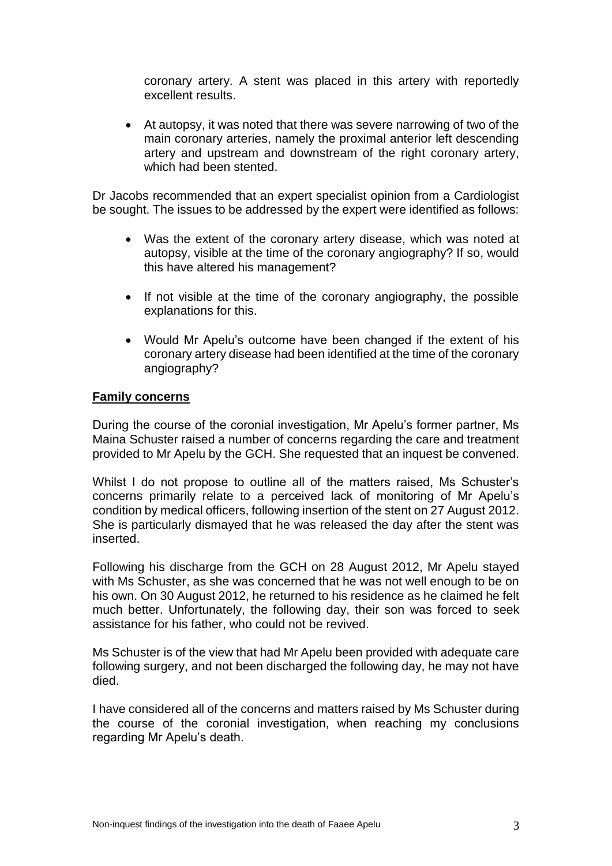coronary artery. A stent was placed in this artery with reportedly excellent results.

 At autopsy, it was noted that there was severe narrowing of two of the main coronary arteries, namely the proximal anterior left descending artery and upstream and downstream of the right coronary artery, which had been stented.

Dr Jacobs recommended that an expert specialist opinion from a Cardiologist be sought. The issues to be addressed by the expert were identified as follows:

- Was the extent of the coronary artery disease, which was noted at autopsy, visible at the time of the coronary angiography? If so, would this have altered his management?
- If not visible at the time of the coronary angiography, the possible explanations for this.
- Would Mr Apelu's outcome have been changed if the extent of his coronary artery disease had been identified at the time of the coronary angiography?

#### **Family concerns**

During the course of the coronial investigation, Mr Apelu's former partner, Ms Maina Schuster raised a number of concerns regarding the care and treatment provided to Mr Apelu by the GCH. She requested that an inquest be convened.

Whilst I do not propose to outline all of the matters raised, Ms Schuster's concerns primarily relate to a perceived lack of monitoring of Mr Apelu's condition by medical officers, following insertion of the stent on 27 August 2012. She is particularly dismayed that he was released the day after the stent was inserted.

Following his discharge from the GCH on 28 August 2012, Mr Apelu stayed with Ms Schuster, as she was concerned that he was not well enough to be on his own. On 30 August 2012, he returned to his residence as he claimed he felt much better. Unfortunately, the following day, their son was forced to seek assistance for his father, who could not be revived.

Ms Schuster is of the view that had Mr Apelu been provided with adequate care following surgery, and not been discharged the following day, he may not have died.

I have considered all of the concerns and matters raised by Ms Schuster during the course of the coronial investigation, when reaching my conclusions regarding Mr Apelu's death.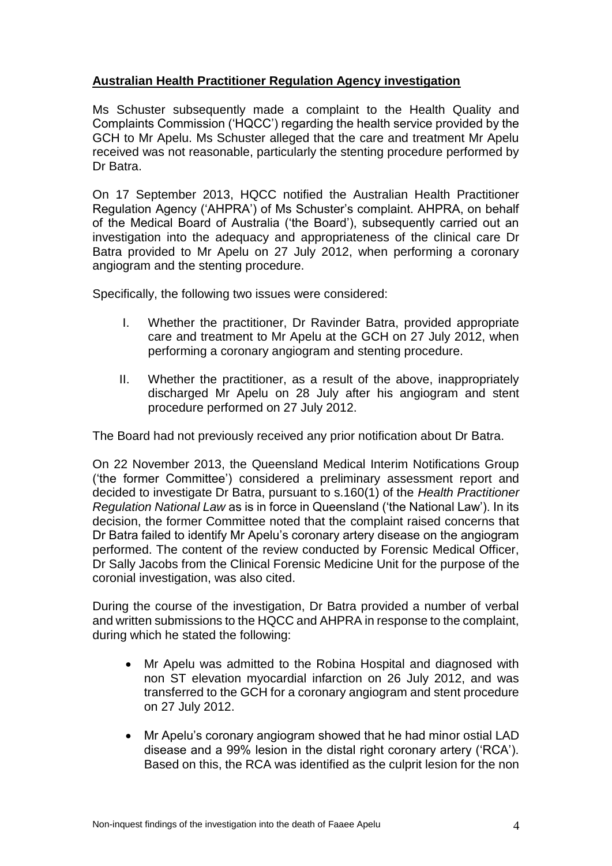# **Australian Health Practitioner Regulation Agency investigation**

Ms Schuster subsequently made a complaint to the Health Quality and Complaints Commission ('HQCC') regarding the health service provided by the GCH to Mr Apelu. Ms Schuster alleged that the care and treatment Mr Apelu received was not reasonable, particularly the stenting procedure performed by Dr Batra.

On 17 September 2013, HQCC notified the Australian Health Practitioner Regulation Agency ('AHPRA') of Ms Schuster's complaint. AHPRA, on behalf of the Medical Board of Australia ('the Board'), subsequently carried out an investigation into the adequacy and appropriateness of the clinical care Dr Batra provided to Mr Apelu on 27 July 2012, when performing a coronary angiogram and the stenting procedure.

Specifically, the following two issues were considered:

- I. Whether the practitioner, Dr Ravinder Batra, provided appropriate care and treatment to Mr Apelu at the GCH on 27 July 2012, when performing a coronary angiogram and stenting procedure.
- II. Whether the practitioner, as a result of the above, inappropriately discharged Mr Apelu on 28 July after his angiogram and stent procedure performed on 27 July 2012.

The Board had not previously received any prior notification about Dr Batra.

On 22 November 2013, the Queensland Medical Interim Notifications Group ('the former Committee') considered a preliminary assessment report and decided to investigate Dr Batra, pursuant to s.160(1) of the *Health Practitioner Regulation National Law* as is in force in Queensland ('the National Law'). In its decision, the former Committee noted that the complaint raised concerns that Dr Batra failed to identify Mr Apelu's coronary artery disease on the angiogram performed. The content of the review conducted by Forensic Medical Officer, Dr Sally Jacobs from the Clinical Forensic Medicine Unit for the purpose of the coronial investigation, was also cited.

During the course of the investigation, Dr Batra provided a number of verbal and written submissions to the HQCC and AHPRA in response to the complaint, during which he stated the following:

- Mr Apelu was admitted to the Robina Hospital and diagnosed with non ST elevation myocardial infarction on 26 July 2012, and was transferred to the GCH for a coronary angiogram and stent procedure on 27 July 2012.
- Mr Apelu's coronary angiogram showed that he had minor ostial LAD disease and a 99% lesion in the distal right coronary artery ('RCA'). Based on this, the RCA was identified as the culprit lesion for the non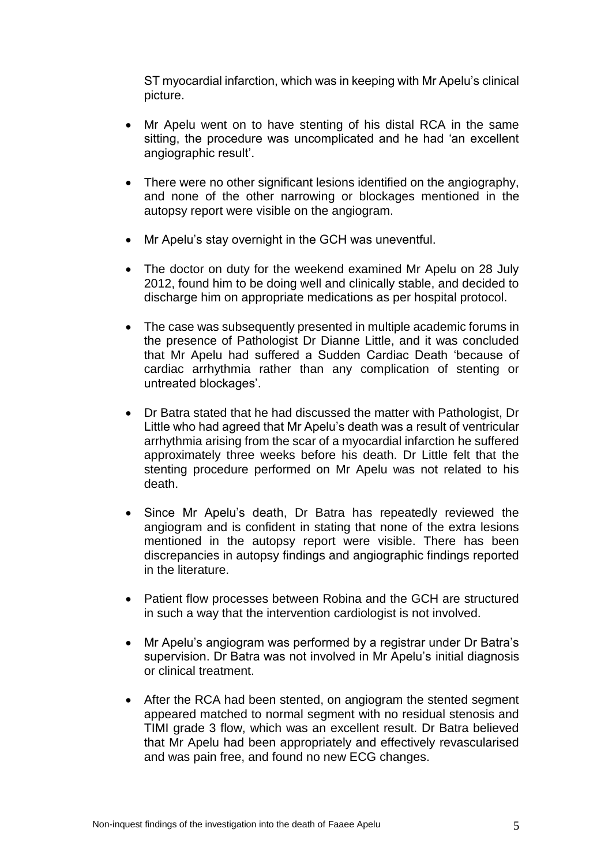ST myocardial infarction, which was in keeping with Mr Apelu's clinical picture.

- Mr Apelu went on to have stenting of his distal RCA in the same sitting, the procedure was uncomplicated and he had 'an excellent angiographic result'.
- There were no other significant lesions identified on the angiography, and none of the other narrowing or blockages mentioned in the autopsy report were visible on the angiogram.
- Mr Apelu's stay overnight in the GCH was uneventful.
- The doctor on duty for the weekend examined Mr Apelu on 28 July 2012, found him to be doing well and clinically stable, and decided to discharge him on appropriate medications as per hospital protocol.
- The case was subsequently presented in multiple academic forums in the presence of Pathologist Dr Dianne Little, and it was concluded that Mr Apelu had suffered a Sudden Cardiac Death 'because of cardiac arrhythmia rather than any complication of stenting or untreated blockages'.
- Dr Batra stated that he had discussed the matter with Pathologist, Dr Little who had agreed that Mr Apelu's death was a result of ventricular arrhythmia arising from the scar of a myocardial infarction he suffered approximately three weeks before his death. Dr Little felt that the stenting procedure performed on Mr Apelu was not related to his death.
- Since Mr Apelu's death, Dr Batra has repeatedly reviewed the angiogram and is confident in stating that none of the extra lesions mentioned in the autopsy report were visible. There has been discrepancies in autopsy findings and angiographic findings reported in the literature.
- Patient flow processes between Robina and the GCH are structured in such a way that the intervention cardiologist is not involved.
- Mr Apelu's angiogram was performed by a registrar under Dr Batra's supervision. Dr Batra was not involved in Mr Apelu's initial diagnosis or clinical treatment.
- After the RCA had been stented, on angiogram the stented segment appeared matched to normal segment with no residual stenosis and TIMI grade 3 flow, which was an excellent result. Dr Batra believed that Mr Apelu had been appropriately and effectively revascularised and was pain free, and found no new ECG changes.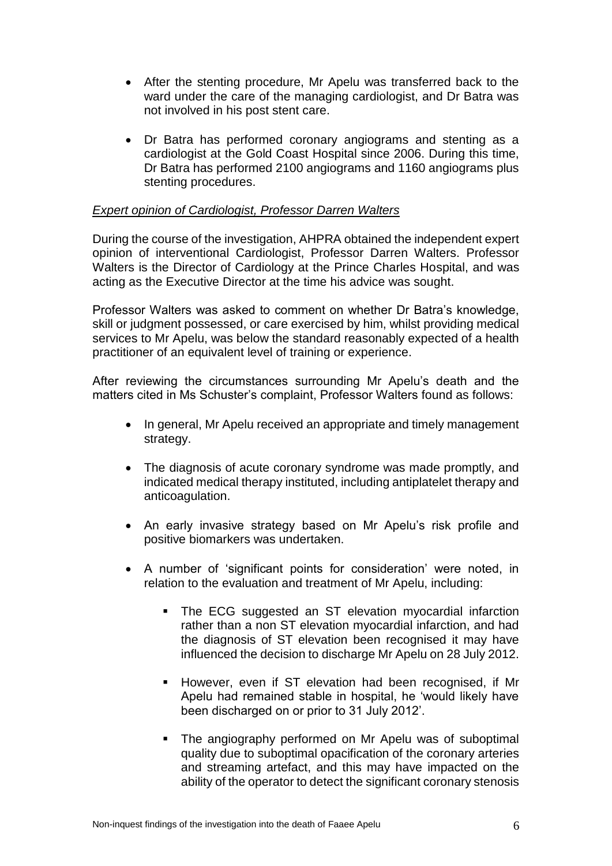- After the stenting procedure, Mr Apelu was transferred back to the ward under the care of the managing cardiologist, and Dr Batra was not involved in his post stent care.
- Dr Batra has performed coronary angiograms and stenting as a cardiologist at the Gold Coast Hospital since 2006. During this time, Dr Batra has performed 2100 angiograms and 1160 angiograms plus stenting procedures.

# *Expert opinion of Cardiologist, Professor Darren Walters*

During the course of the investigation, AHPRA obtained the independent expert opinion of interventional Cardiologist, Professor Darren Walters. Professor Walters is the Director of Cardiology at the Prince Charles Hospital, and was acting as the Executive Director at the time his advice was sought.

Professor Walters was asked to comment on whether Dr Batra's knowledge, skill or judgment possessed, or care exercised by him, whilst providing medical services to Mr Apelu, was below the standard reasonably expected of a health practitioner of an equivalent level of training or experience.

After reviewing the circumstances surrounding Mr Apelu's death and the matters cited in Ms Schuster's complaint, Professor Walters found as follows:

- In general, Mr Apelu received an appropriate and timely management strategy.
- The diagnosis of acute coronary syndrome was made promptly, and indicated medical therapy instituted, including antiplatelet therapy and anticoagulation.
- An early invasive strategy based on Mr Apelu's risk profile and positive biomarkers was undertaken.
- A number of 'significant points for consideration' were noted, in relation to the evaluation and treatment of Mr Apelu, including:
	- The ECG suggested an ST elevation myocardial infarction rather than a non ST elevation myocardial infarction, and had the diagnosis of ST elevation been recognised it may have influenced the decision to discharge Mr Apelu on 28 July 2012.
	- **However, even if ST elevation had been recognised, if Mr** Apelu had remained stable in hospital, he 'would likely have been discharged on or prior to 31 July 2012'.
	- The angiography performed on Mr Apelu was of suboptimal quality due to suboptimal opacification of the coronary arteries and streaming artefact, and this may have impacted on the ability of the operator to detect the significant coronary stenosis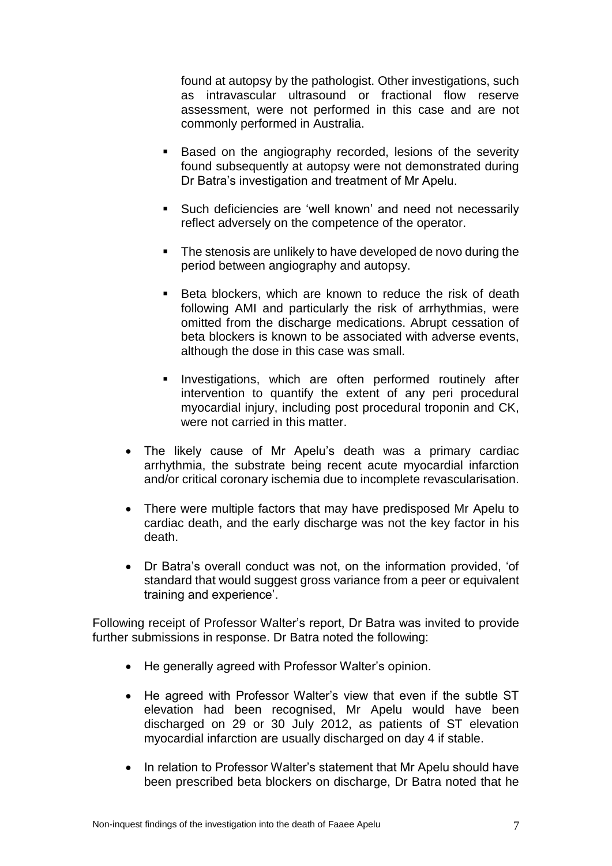found at autopsy by the pathologist. Other investigations, such as intravascular ultrasound or fractional flow reserve assessment, were not performed in this case and are not commonly performed in Australia.

- **Based on the angiography recorded, lesions of the severity** found subsequently at autopsy were not demonstrated during Dr Batra's investigation and treatment of Mr Apelu.
- Such deficiencies are 'well known' and need not necessarily reflect adversely on the competence of the operator.
- **The stenosis are unlikely to have developed de novo during the** period between angiography and autopsy.
- **Beta blockers, which are known to reduce the risk of death** following AMI and particularly the risk of arrhythmias, were omitted from the discharge medications. Abrupt cessation of beta blockers is known to be associated with adverse events, although the dose in this case was small.
- **Investigations, which are often performed routinely after** intervention to quantify the extent of any peri procedural myocardial injury, including post procedural troponin and CK, were not carried in this matter.
- The likely cause of Mr Apelu's death was a primary cardiac arrhythmia, the substrate being recent acute myocardial infarction and/or critical coronary ischemia due to incomplete revascularisation.
- There were multiple factors that may have predisposed Mr Apelu to cardiac death, and the early discharge was not the key factor in his death.
- Dr Batra's overall conduct was not, on the information provided, 'of standard that would suggest gross variance from a peer or equivalent training and experience'.

Following receipt of Professor Walter's report, Dr Batra was invited to provide further submissions in response. Dr Batra noted the following:

- He generally agreed with Professor Walter's opinion.
- He agreed with Professor Walter's view that even if the subtle ST elevation had been recognised, Mr Apelu would have been discharged on 29 or 30 July 2012, as patients of ST elevation myocardial infarction are usually discharged on day 4 if stable.
- In relation to Professor Walter's statement that Mr Apelu should have been prescribed beta blockers on discharge, Dr Batra noted that he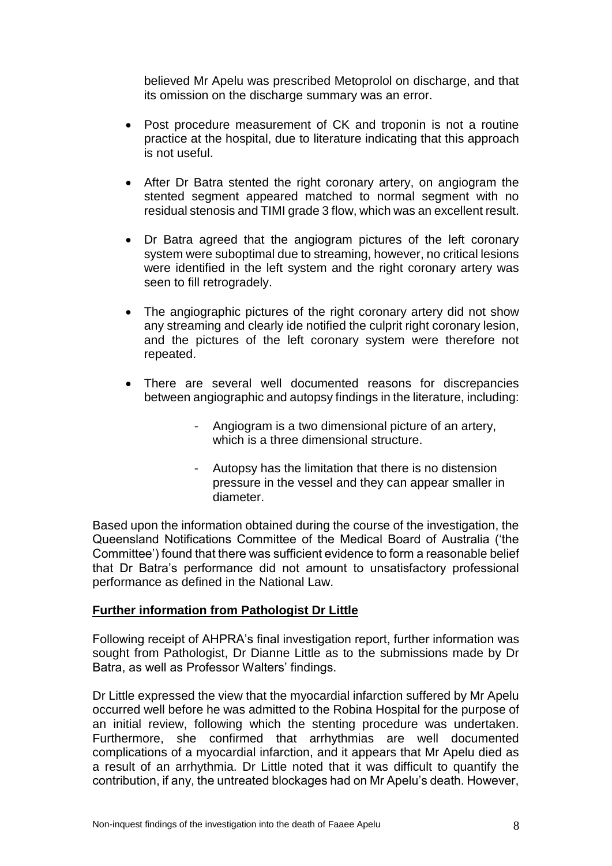believed Mr Apelu was prescribed Metoprolol on discharge, and that its omission on the discharge summary was an error.

- Post procedure measurement of CK and troponin is not a routine practice at the hospital, due to literature indicating that this approach is not useful.
- After Dr Batra stented the right coronary artery, on angiogram the stented segment appeared matched to normal segment with no residual stenosis and TIMI grade 3 flow, which was an excellent result.
- Dr Batra agreed that the angiogram pictures of the left coronary system were suboptimal due to streaming, however, no critical lesions were identified in the left system and the right coronary artery was seen to fill retrogradely.
- The angiographic pictures of the right coronary artery did not show any streaming and clearly ide notified the culprit right coronary lesion, and the pictures of the left coronary system were therefore not repeated.
- There are several well documented reasons for discrepancies between angiographic and autopsy findings in the literature, including:
	- Angiogram is a two dimensional picture of an artery, which is a three dimensional structure.
	- Autopsy has the limitation that there is no distension pressure in the vessel and they can appear smaller in diameter.

Based upon the information obtained during the course of the investigation, the Queensland Notifications Committee of the Medical Board of Australia ('the Committee') found that there was sufficient evidence to form a reasonable belief that Dr Batra's performance did not amount to unsatisfactory professional performance as defined in the National Law.

# **Further information from Pathologist Dr Little**

Following receipt of AHPRA's final investigation report, further information was sought from Pathologist, Dr Dianne Little as to the submissions made by Dr Batra, as well as Professor Walters' findings.

Dr Little expressed the view that the myocardial infarction suffered by Mr Apelu occurred well before he was admitted to the Robina Hospital for the purpose of an initial review, following which the stenting procedure was undertaken. Furthermore, she confirmed that arrhythmias are well documented complications of a myocardial infarction, and it appears that Mr Apelu died as a result of an arrhythmia. Dr Little noted that it was difficult to quantify the contribution, if any, the untreated blockages had on Mr Apelu's death. However,